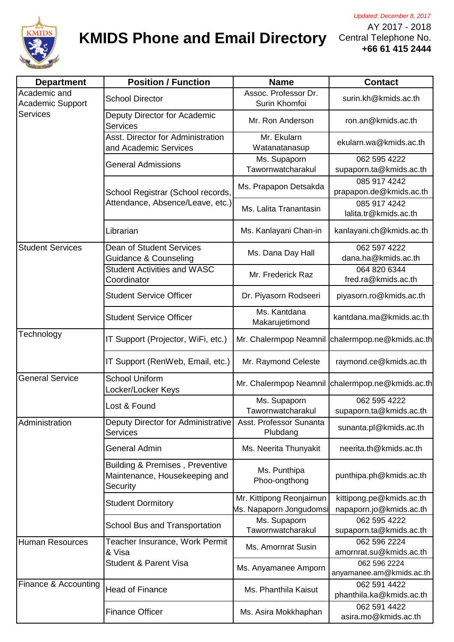

## **KMIDS Phone and Email Directory**

AY 2017 - 2018 Central Telephone No. **+66 61 415 2444**

| <b>Department</b>                                          | <b>Position / Function</b>                                                   | <b>Name</b>                                         | <b>Contact</b>                                      |
|------------------------------------------------------------|------------------------------------------------------------------------------|-----------------------------------------------------|-----------------------------------------------------|
| Academic and<br><b>Academic Support</b><br><b>Services</b> | <b>School Director</b>                                                       | Assoc. Professor Dr.<br>Surin Khomfoi               | surin.kh@kmids.ac.th                                |
|                                                            | Deputy Director for Academic<br><b>Services</b>                              | Mr. Ron Anderson                                    | ron.an@kmids.ac.th                                  |
|                                                            | Asst. Director for Administration<br>and Academic Services                   | Mr. Ekularn<br>Watanatanasup                        | ekularn.wa@kmids.ac.th                              |
|                                                            | <b>General Admissions</b>                                                    | Ms. Supaporn<br>Tawornwatcharakul                   | 062 595 4222<br>supaporn.ta@kmids.ac.th             |
|                                                            | School Registrar (School records,<br>Attendance, Absence/Leave, etc.)        | Ms. Prapapon Detsakda                               | 085 917 4242<br>prapapon.de@kmids.ac.th             |
|                                                            |                                                                              | Ms. Lalita Tranantasin                              | 085 917 4242<br>lalita.tr@kmids.ac.th               |
|                                                            | Librarian                                                                    | Ms. Kanlayani Chan-in                               | kanlayani.ch@kmids.ac.th                            |
| <b>Student Services</b>                                    | Dean of Student Services<br><b>Guidance &amp; Counseling</b>                 | Ms. Dana Day Hall                                   | 062 597 4222<br>dana.ha@kmids.ac.th                 |
|                                                            | <b>Student Activities and WASC</b><br>Coordinator                            | Mr. Frederick Raz                                   | 064 820 6344<br>fred.ra@kmids.ac.th                 |
|                                                            | <b>Student Service Officer</b>                                               | Dr. Piyasorn Rodseeri                               | piyasorn.ro@kmids.ac.th                             |
|                                                            | <b>Student Service Officer</b>                                               | Ms. Kantdana<br>Makarujetimond                      | kantdana.ma@kmids.ac.th                             |
| Technology                                                 | IT Support (Projector, WiFi, etc.)                                           | Mr. Chalermpop Neamnil                              | chalermpop.ne@kmids.ac.th                           |
|                                                            | IT Support (RenWeb, Email, etc.)                                             | Mr. Raymond Celeste                                 | raymond.ce@kmids.ac.th                              |
| <b>General Service</b>                                     | <b>School Uniform</b><br>Locker/Locker Keys                                  | Mr. Chalermpop Neamnil                              | chalermpop.ne@kmids.ac.th                           |
|                                                            | Lost & Found                                                                 | Ms. Supaporn<br>Tawornwatcharakul                   | 062 595 4222<br>supaporn.ta@kmids.ac.th             |
| Administration                                             | Deputy Director for Administrative<br><b>Services</b>                        | Asst. Professor Sunanta<br>Plubdang                 | sunanta.pl@kmids.ac.th                              |
|                                                            | General Admin                                                                | Ms. Neerita Thunyakit                               | neerita.th@kmids.ac.th                              |
|                                                            | Building & Premises, Preventive<br>Maintenance, Housekeeping and<br>Security | Ms. Punthipa<br>Phoo-ongthong                       | punthipa.ph@kmids.ac.th                             |
|                                                            | <b>Student Dormitory</b>                                                     | Mr. Kittipong Reonjaimun<br>Ms. Napaporn Jongudomsi | kittipong.pe@kmids.ac.th<br>napaporn.jo@kmids.ac.th |
|                                                            | School Bus and Transportation                                                | Ms. Supaporn<br>Tawornwatcharakul                   | 062 595 4222<br>supaporn.ta@kmids.ac.th             |
| <b>Human Resources</b>                                     | Teacher Insurance, Work Permit<br>& Visa<br><b>Student &amp; Parent Visa</b> | Ms. Amornrat Susin                                  | 062 596 2224<br>amornrat.su@kmids.ac.th             |
|                                                            |                                                                              | Ms. Anyamanee Amporn                                | 062 596 2224<br>anyamanee.am@kmids.ac.th            |
| Finance & Accounting                                       | <b>Head of Finance</b>                                                       | Ms. Phanthila Kaisut                                | 062 591 4422<br>phanthila.ka@kmids.ac.th            |
|                                                            | <b>Finance Officer</b>                                                       | Ms. Asira Mokkhaphan                                | 062 591 4422<br>asira.mo@kmids.ac.th                |